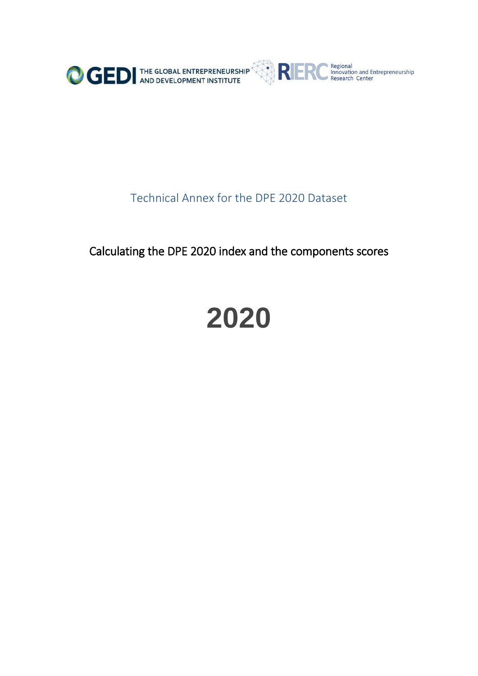

## Technical Annex for the DPE 2020 Dataset

Calculating the DPE 2020 index and the components scores

## **2020**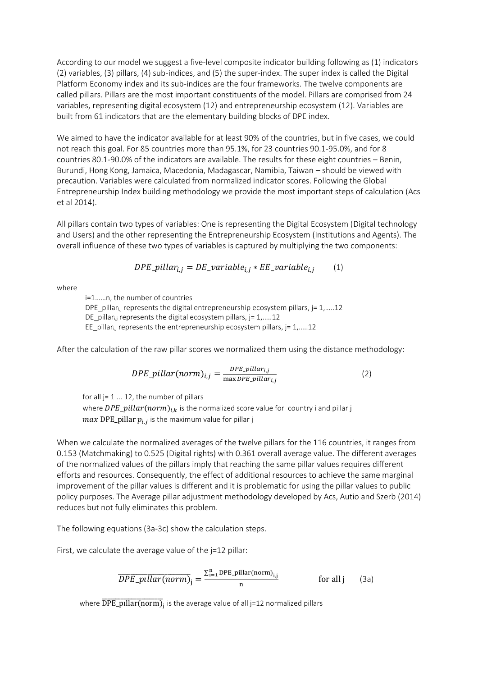According to our model we suggest a five-level composite indicator building following as (1) indicators (2) variables, (3) pillars, (4) sub-indices, and (5) the super-index. The super index is called the Digital Platform Economy index and its sub-indices are the four frameworks. The twelve components are called pillars. Pillars are the most important constituents of the model. Pillars are comprised from 24 variables, representing digital ecosystem (12) and entrepreneurship ecosystem (12). Variables are built from 61 indicators that are the elementary building blocks of DPE index.

We aimed to have the indicator available for at least 90% of the countries, but in five cases, we could not reach this goal. For 85 countries more than 95.1%, for 23 countries 90.1-95.0%, and for 8 countries 80.1-90.0% of the indicators are available. The results for these eight countries – Benin, Burundi, Hong Kong, Jamaica, Macedonia, Madagascar, Namibia, Taiwan – should be viewed with precaution. Variables were calculated from normalized indicator scores. Following the Global Entrepreneurship Index building methodology we provide the most important steps of calculation (Acs et al 2014).

All pillars contain two types of variables: One is representing the Digital Ecosystem (Digital technology and Users) and the other representing the Entrepreneurship Ecosystem (Institutions and Agents). The overall influence of these two types of variables is captured by multiplying the two components:

$$
DPE\_pillar_{i,j} = DE\_variable_{i,j} * EE\_variable_{i,j}
$$
 (1)

where

i=1……n, the number of countries DPE pillari,j represents the digital entrepreneurship ecosystem pillars,  $j = 1, \ldots, 12$ DE pillar<sub>i,j</sub> represents the digital ecosystem pillars,  $j = 1, \ldots, 12$ EE pillari,j represents the entrepreneurship ecosystem pillars,  $j = 1, \ldots, 12$ 

After the calculation of the raw pillar scores we normalized them using the distance methodology:

$$
DPE\_pillar(norm)_{i,j} = \frac{DPE\_pillar_{i,j}}{\max DPE\_pillar_{i,j}}
$$
(2)

for all  $j= 1 ... 12$ , the number of pillars

where  $DPE\_pillar(norm)_{i,k}$  is the normalized score value for country i and pillar j  $max$  DPE\_pillar  $p_{i,j}$  is the maximum value for pillar j

When we calculate the normalized averages of the twelve pillars for the 116 countries, it ranges from 0.153 (Matchmaking) to 0.525 (Digital rights) with 0.361 overall average value. The different averages of the normalized values of the pillars imply that reaching the same pillar values requires different efforts and resources. Consequently, the effect of additional resources to achieve the same marginal improvement of the pillar values is different and it is problematic for using the pillar values to public policy purposes. The Average pillar adjustment methodology developed by Acs, Autio and Szerb (2014) reduces but not fully eliminates this problem.

The following equations (3a-3c) show the calculation steps.

First, we calculate the average value of the j=12 pillar:

$$
\overline{DPE\_pullar(norm)}_{j} = \frac{\sum_{i=1}^{n} DPE\_pillar(norm)}{n}_{j} \quad \text{for all } j \quad (3a)
$$

where  $\overline{\text{DPE\_pillar(norm)}}_{\text{j}}$  is the average value of all j=12 normalized pillars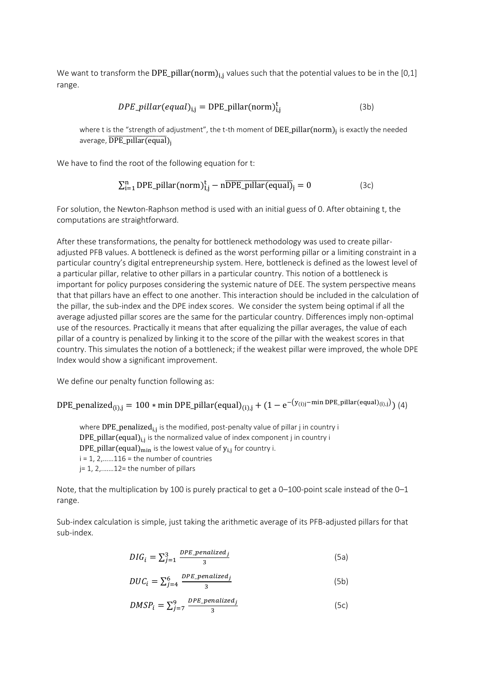We want to transform the DPE\_pillar(norm)<sub>i,j</sub> values such that the potential values to be in the [0,1] range.

$$
DPE\_pillar(equal)_{i,j} = DPE\_pillar(norm)_{i,j}^{t}
$$
 (3b)

where t is the "strength of adjustment", the t-th moment of  $\rm{DEE\_pillar}(norm)_j$  is exactly the needed average,  $\overline{DPE\_pullar(equal)}$ 

We have to find the root of the following equation for t:

$$
\sum_{i=1}^{n} DPE\_pillar(norm)^{t}_{I,j} - n\overline{DPE\_pillar(equal)}_{j} = 0
$$
 (3c)

For solution, the Newton-Raphson method is used with an initial guess of 0. After obtaining t, the computations are straightforward.

After these transformations, the penalty for bottleneck methodology was used to create pillaradjusted PFB values. A bottleneck is defined as the worst performing pillar or a limiting constraint in a particular country's digital entrepreneurship system. Here, bottleneck is defined as the lowest level of a particular pillar, relative to other pillars in a particular country. This notion of a bottleneck is important for policy purposes considering the systemic nature of DEE. The system perspective means that that pillars have an effect to one another. This interaction should be included in the calculation of the pillar, the sub-index and the DPE index scores. We consider the system being optimal if all the average adjusted pillar scores are the same for the particular country. Differences imply non-optimal use of the resources. Practically it means that after equalizing the pillar averages, the value of each pillar of a country is penalized by linking it to the score of the pillar with the weakest scores in that country. This simulates the notion of a bottleneck; if the weakest pillar were improved, the whole DPE Index would show a significant improvement.

We define our penalty function following as:

DPE\_penalized<sub>(i),j</sub> = 100 \* min DPE\_pillar(equal)<sub>(i),j</sub> + (1 – e<sup>-(y<sub>(i)j</sub>-min DPE\_pillar(equal)<sub>(i),j</sub>)</sup>) (4)

where  ${\rm DPE\_penalized}_{\rm i,j}$  is the modified, post-penalty value of pillar j in country i  ${\rm DPE\_pillar}({\rm equal})_{\rm i,j}$  is the normalized value of index component j in country i  $\rm{DPE\_pillar}(\rm{equal})_{\rm{min}}$  is the lowest value of  $\rm{y_{i,j}}$  for country i.  $i = 1, 2, \ldots, 116$  = the number of countries j= 1, 2,.……12= the number of pillars

Note, that the multiplication by 100 is purely practical to get a 0–100-point scale instead of the 0–1 range.

Sub-index calculation is simple, just taking the arithmetic average of its PFB-adjusted pillars for that sub-index.

$$
DIG_i = \sum_{j=1}^{3} \frac{DPE\_penalized_j}{3}
$$
 (5a)

$$
DUC_i = \sum_{j=4}^{6} \frac{DPE\_penalized_j}{3}
$$
 (5b)

$$
DMSP_i = \sum_{j=7}^{9} \frac{DPE\_penalized_j}{3}
$$
 (5c)